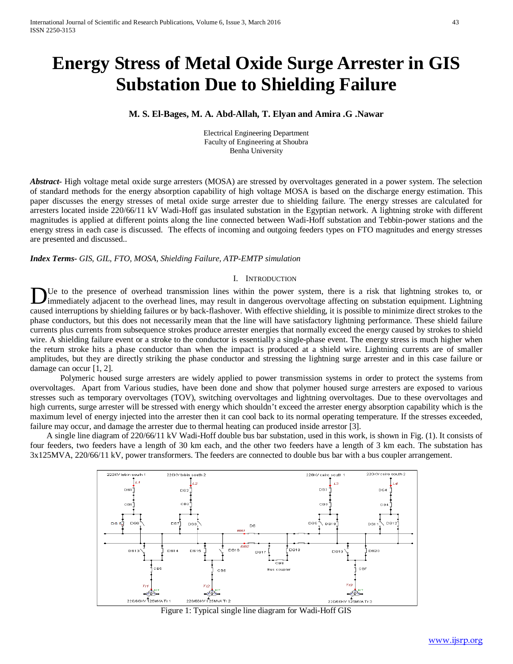# **Energy Stress of Metal Oxide Surge Arrester in GIS Substation Due to Shielding Failure**

## **M. S. El-Bages, M. A. Abd-Allah, T. Elyan and Amira .G .Nawar**

Electrical Engineering Department Faculty of Engineering at Shoubra Benha University

*Abstract***-** High voltage metal oxide surge arresters (MOSA) are stressed by overvoltages generated in a power system. The selection of standard methods for the energy absorption capability of high voltage MOSA is based on the discharge energy estimation. This paper discusses the energy stresses of metal oxide surge arrester due to shielding failure. The energy stresses are calculated for arresters located inside 220/66/11 kV Wadi-Hoff gas insulated substation in the Egyptian network. A lightning stroke with different magnitudes is applied at different points along the line connected between Wadi-Hoff substation and Tebbin-power stations and the energy stress in each case is discussed. The effects of incoming and outgoing feeders types on FTO magnitudes and energy stresses are presented and discussed..

## *Index Terms- GIS, GIL, FTO, MOSA, Shielding Failure, ATP-EMTP simulation*

#### I. INTRODUCTION

Ue to the presence of overhead transmission lines within the power system, there is a risk that lightning strokes to, or immediately adjacent to the overhead lines, may result in dangerous overvoltage affecting on substation equipment. Lightning Due to the presence of overhead transmission lines within the power system, there is a risk that lightning strokes to, or immediately adjacent to the overhead lines, may result in dangerous overvoltage affecting on substat phase conductors, but this does not necessarily mean that the line will have satisfactory lightning performance. These shield failure currents plus currents from subsequence strokes produce arrester energies that normally exceed the energy caused by strokes to shield wire. A shielding failure event or a stroke to the conductor is essentially a single-phase event. The energy stress is much higher when the return stroke hits a phase conductor than when the impact is produced at a shield wire. Lightning currents are of smaller amplitudes, but they are directly striking the phase conductor and stressing the lightning surge arrester and in this case failure or damage can occur [1, 2].

Polymeric housed surge arresters are widely applied to power transmission systems in order to protect the systems from overvoltages. Apart from Various studies, have been done and show that polymer housed surge arresters are exposed to various stresses such as temporary overvoltages (TOV), switching overvoltages and lightning overvoltages. Due to these overvoltages and high currents, surge arrester will be stressed with energy which shouldn't exceed the arrester energy absorption capability which is the maximum level of energy injected into the arrester then it can cool back to its normal operating temperature. If the stresses exceeded, failure may occur, and damage the arrester due to thermal heating can produced inside arrestor [3].

 A single line diagram of 220/66/11 kV Wadi-Hoff double bus bar substation, used in this work, is shown in Fig. (1). It consists of four feeders, two feeders have a length of 30 km each, and the other two feeders have a length of 3 km each. The substation has 3x125MVA, 220/66/11 kV, power transformers. The feeders are connected to double bus bar with a bus coupler arrangement.



Figure 1: Typical single line diagram for Wadi-Hoff GIS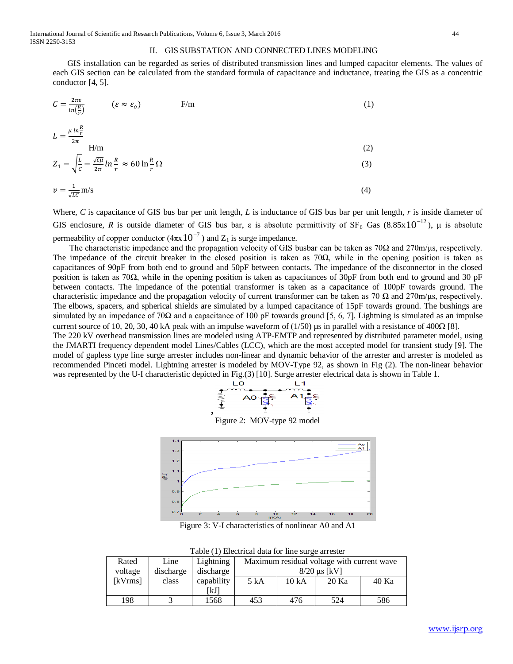## II. GIS SUBSTATION AND CONNECTED LINES MODELING

 GIS installation can be regarded as series of distributed transmission lines and lumped capacitor elements. The values of each GIS section can be calculated from the standard formula of capacitance and inductance, treating the GIS as a concentric conductor [4, 5].

$$
C = \frac{2\pi\varepsilon}{\ln(\frac{R}{r})}
$$
  $(\varepsilon \approx \varepsilon_o)$  F/m (1)  
\n
$$
L = \frac{\mu \ln \frac{R}{r}}{2\pi}
$$
 H/m (2)

$$
Z_1 = \sqrt{\frac{L}{c}} = \frac{\sqrt{\varepsilon \mu}}{2\pi} \ln \frac{R}{r} \approx 60 \ln \frac{R}{r} \Omega
$$
\n(3)

$$
v = \frac{1}{\sqrt{LC}} \, \text{m/s} \tag{4}
$$

Where, *C* is capacitance of GIS bus bar per unit length, *L* is inductance of GIS bus bar per unit length, *r* is inside diameter of GIS enclosure, *R* is outside diameter of GIS bus bar,  $\varepsilon$  is absolute permittivity of SF<sub>6</sub> Gas (8.85x10<sup>-12</sup>),  $\mu$  is absolute permeability of copper conductor  $(4\pi x 10^{-7})$  and  $Z_1$  is surge impedance.

The characteristic impedance and the propagation velocity of GIS busbar can be taken as  $70\Omega$  and  $270m/\mu s$ , respectively. The impedance of the circuit breaker in the closed position is taken as 70 $\Omega$ , while in the opening position is taken as capacitances of 90pF from both end to ground and 50pF between contacts. The impedance of the disconnector in the closed position is taken as 70Ω, while in the opening position is taken as capacitances of 30pF from both end to ground and 30 pF between contacts. The impedance of the potential transformer is taken as a capacitance of 100pF towards ground. The characteristic impedance and the propagation velocity of current transformer can be taken as 70  $\Omega$  and 270m/µs, respectively. The elbows, spacers, and spherical shields are simulated by a lumped capacitance of 15pF towards ground. The bushings are simulated by an impedance of 70 $\Omega$  and a capacitance of 100 pF towards ground [5, 6, 7]. Lightning is simulated as an impulse current source of 10, 20, 30, 40 kA peak with an impulse waveform of  $(1/50)$  µs in parallel with a resistance of 400 $\Omega$  [8].

The 220 kV overhead transmission lines are modeled using ATP-EMTP and represented by distributed parameter model, using the JMARTI frequency dependent model Lines/Cables (LCC), which are the most accepted model for transient study [9]. The model of gapless type line surge arrester includes non-linear and dynamic behavior of the arrester and arrester is modeled as recommended Pinceti model. Lightning arrester is modeled by MOV-Type 92, as shown in Fig (2). The non-linear behavior was represented by the U-I characteristic depicted in Fig.(3) [10]. Surge arrester electrical data is shown in Table 1.



Figure 2: MOV-type 92 model



Figure 3: V-I characteristics of nonlinear A0 and A1

|  |  | Table (1) Electrical data for line surge arrester |
|--|--|---------------------------------------------------|
|  |  |                                                   |

| Rated   | Line      | Lightning  | Maximum residual voltage with current wave |       |       |       |  |
|---------|-----------|------------|--------------------------------------------|-------|-------|-------|--|
| voltage | discharge | discharge  | $8/20$ us [kV]                             |       |       |       |  |
| [kVrms] | class     | capability | 5 kA                                       | 10 kA | 20 Ka | 40 Ka |  |
|         |           | ſkJ        |                                            |       |       |       |  |
| 198     |           | 1568       | 453                                        | 476   | 524   | 586   |  |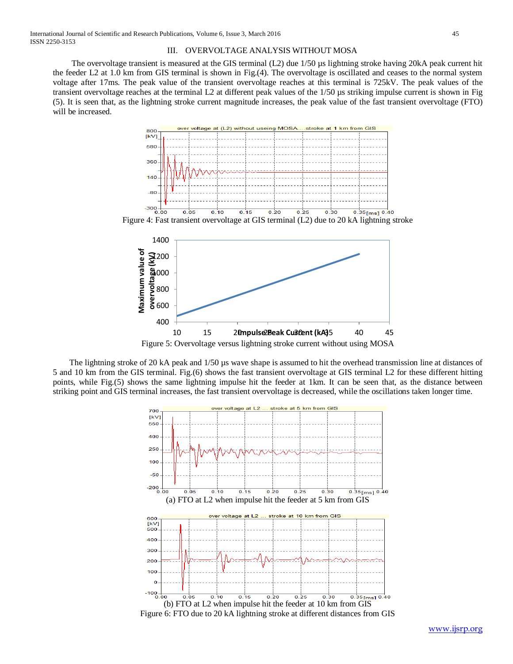## III. OVERVOLTAGE ANALYSIS WITHOUT MOSA

The overvoltage transient is measured at the GIS terminal (L2) due 1/50 µs lightning stroke having 20kA peak current hit the feeder L2 at 1.0 km from GIS terminal is shown in Fig.(4). The overvoltage is oscillated and ceases to the normal system voltage after 17ms. The peak value of the transient overvoltage reaches at this terminal is 725kV. The peak values of the transient overvoltage reaches at the terminal L2 at different peak values of the 1/50 µs striking impulse current is shown in Fig (5). It is seen that, as the lightning stroke current magnitude increases, the peak value of the fast transient overvoltage (FTO) will be increased.





 The lightning stroke of 20 kA peak and 1/50 µs wave shape is assumed to hit the overhead transmission line at distances of 5 and 10 km from the GIS terminal. Fig.(6) shows the fast transient overvoltage at GIS terminal L2 for these different hitting points, while Fig.(5) shows the same lightning impulse hit the feeder at 1km. It can be seen that, as the distance between striking point and GIS terminal increases, the fast transient overvoltage is decreased, while the oscillations taken longer time.

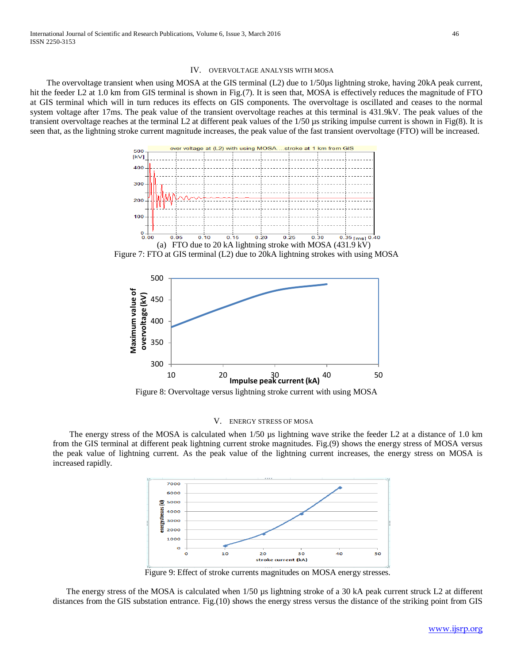#### IV. OVERVOLTAGE ANALYSIS WITH MOSA

The overvoltage transient when using MOSA at the GIS terminal (L2) due to 1/50µs lightning stroke, having 20kA peak current, hit the feeder L2 at 1.0 km from GIS terminal is shown in Fig.(7). It is seen that, MOSA is effectively reduces the magnitude of FTO at GIS terminal which will in turn reduces its effects on GIS components. The overvoltage is oscillated and ceases to the normal system voltage after 17ms. The peak value of the transient overvoltage reaches at this terminal is 431.9kV. The peak values of the transient overvoltage reaches at the terminal L2 at different peak values of the 1/50 µs striking impulse current is shown in Fig(8). It is seen that, as the lightning stroke current magnitude increases, the peak value of the fast transient overvoltage (FTO) will be increased.





Figure 8: Overvoltage versus lightning stroke current with using MOSA

## V. ENERGY STRESS OF MOSA

The energy stress of the MOSA is calculated when  $1/50$  µs lightning wave strike the feeder L2 at a distance of 1.0 km from the GIS terminal at different peak lightning current stroke magnitudes. Fig.(9) shows the energy stress of MOSA versus the peak value of lightning current. As the peak value of the lightning current increases, the energy stress on MOSA is increased rapidly.



Figure 9: Effect of stroke currents magnitudes on MOSA energy stresses.

The energy stress of the MOSA is calculated when  $1/50 \mu s$  lightning stroke of a 30 kA peak current struck L2 at different distances from the GIS substation entrance. Fig.(10) shows the energy stress versus the distance of the striking point from GIS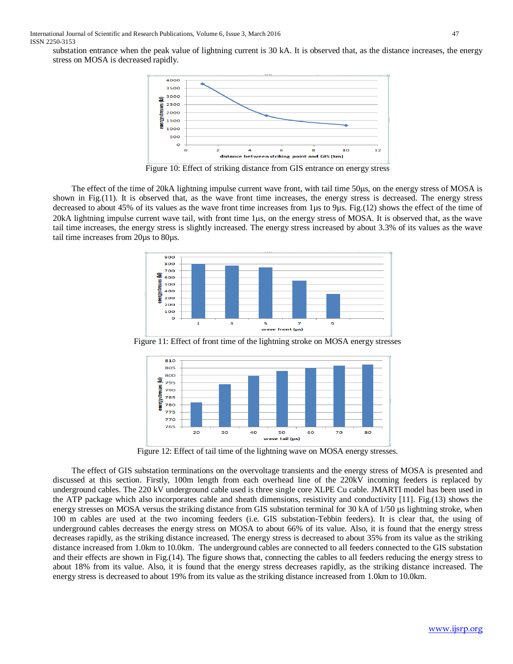substation entrance when the peak value of lightning current is 30 kA. It is observed that, as the distance increases, the energy stress on MOSA is decreased rapidly.



Figure 10: Effect of striking distance from GIS entrance on energy stress

The effect of the time of 20kA lightning impulse current wave front, with tail time 50µs, on the energy stress of MOSA is shown in Fig.(11). It is observed that, as the wave front time increases, the energy stress is decreased. The energy stress decreased to about 45% of its values as the wave front time increases from 1µs to 9µs. Fig.(12) shows the effect of the time of 20kA lightning impulse current wave tail, with front time 1µs, on the energy stress of MOSA. It is observed that, as the wave tail time increases, the energy stress is slightly increased. The energy stress increased by about 3.3% of its values as the wave tail time increases from 20µs to 80µs.



Figure 11: Effect of front time of the lightning stroke on MOSA energy stresses



Figure 12: Effect of tail time of the lightning wave on MOSA energy stresses.

 The effect of GIS substation terminations on the overvoltage transients and the energy stress of MOSA is presented and discussed at this section. Firstly, 100m length from each overhead line of the 220kV incoming feeders is replaced by underground cables. The 220 kV underground cable used is three single core XLPE Cu cable. JMARTI model has been used in the ATP package which also incorporates cable and sheath dimensions, resistivity and conductivity [11]. Fig.(13) shows the energy stresses on MOSA versus the striking distance from GIS substation terminal for 30 kA of 1/50 µs lightning stroke, when 100 m cables are used at the two incoming feeders (i.e. GIS substation-Tebbin feeders). It is clear that, the using of underground cables decreases the energy stress on MOSA to about 66% of its value. Also, it is found that the energy stress decreases rapidly, as the striking distance increased. The energy stress is decreased to about 35% from its value as the striking distance increased from 1.0km to 10.0km. The underground cables are connected to all feeders connected to the GIS substation and their effects are shown in Fig.(14). The figure shows that, connecting the cables to all feeders reducing the energy stress to about 18% from its value. Also, it is found that the energy stress decreases rapidly, as the striking distance increased. The energy stress is decreased to about 19% from its value as the striking distance increased from 1.0km to 10.0km.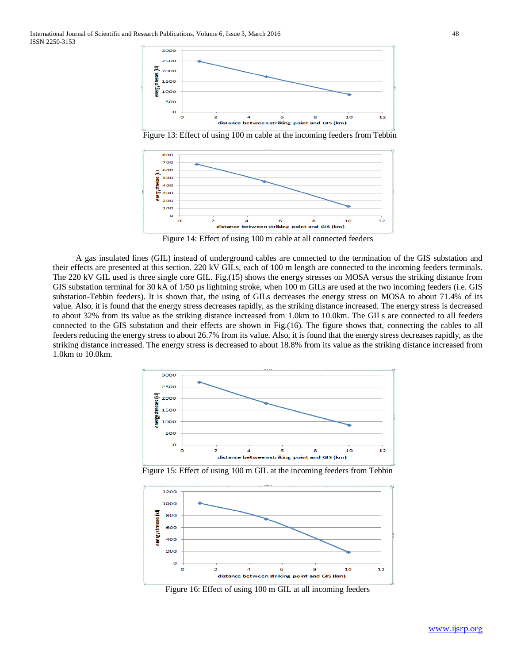International Journal of Scientific and Research Publications, Volume 6, Issue 3, March 2016 48 ISSN 2250-3153



Figure 13: Effect of using 100 m cable at the incoming feeders from Tebbin



Figure 14: Effect of using 100 m cable at all connected feeders

 A gas insulated lines (GIL) instead of underground cables are connected to the termination of the GIS substation and their effects are presented at this section. 220 kV GILs, each of 100 m length are connected to the incoming feeders terminals. The 220 kV GIL used is three single core GIL. Fig.(15) shows the energy stresses on MOSA versus the striking distance from GIS substation terminal for 30 kA of 1/50 µs lightning stroke, when 100 m GILs are used at the two incoming feeders (i.e. GIS substation-Tebbin feeders). It is shown that, the using of GILs decreases the energy stress on MOSA to about 71.4% of its value. Also, it is found that the energy stress decreases rapidly, as the striking distance increased. The energy stress is decreased to about 32% from its value as the striking distance increased from 1.0km to 10.0km. The GILs are connected to all feeders connected to the GIS substation and their effects are shown in Fig.(16). The figure shows that, connecting the cables to all feeders reducing the energy stress to about 26.7% from its value. Also, it is found that the energy stress decreases rapidly, as the striking distance increased. The energy stress is decreased to about 18.8% from its value as the striking distance increased from 1.0km to 10.0km.



Figure 15: Effect of using 100 m GIL at the incoming feeders from Tebbin



Figure 16: Effect of using 100 m GIL at all incoming feeders